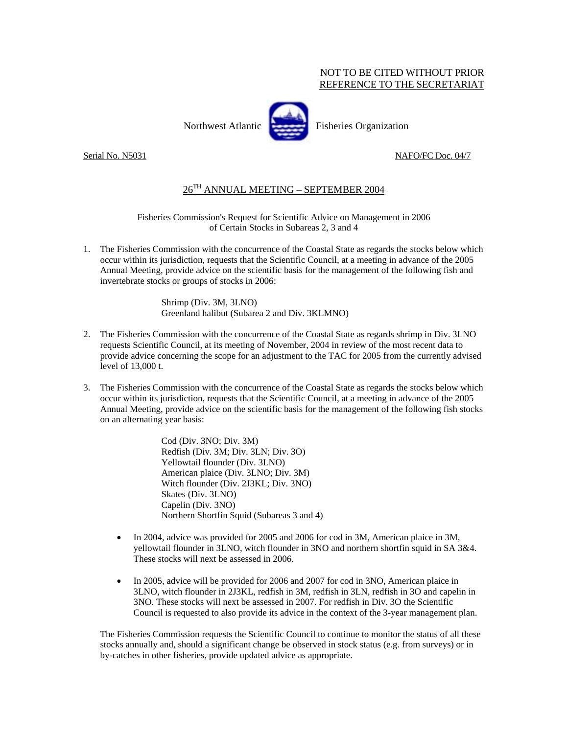## NOT TO BE CITED WITHOUT PRIOR REFERENCE TO THE SECRETARIAT



Northwest Atlantic Fisheries Organization

## Serial No. N5031 NAFO/FC Doc. 04/7

## 26TH ANNUAL MEETING – SEPTEMBER 2004

Fisheries Commission's Request for Scientific Advice on Management in 2006 of Certain Stocks in Subareas 2, 3 and 4

1. The Fisheries Commission with the concurrence of the Coastal State as regards the stocks below which occur within its jurisdiction, requests that the Scientific Council, at a meeting in advance of the 2005 Annual Meeting, provide advice on the scientific basis for the management of the following fish and invertebrate stocks or groups of stocks in 2006:

> Shrimp (Div. 3M, 3LNO) Greenland halibut (Subarea 2 and Div. 3KLMNO)

- 2. The Fisheries Commission with the concurrence of the Coastal State as regards shrimp in Div. 3LNO requests Scientific Council, at its meeting of November, 2004 in review of the most recent data to provide advice concerning the scope for an adjustment to the TAC for 2005 from the currently advised level of 13,000 t.
- 3. The Fisheries Commission with the concurrence of the Coastal State as regards the stocks below which occur within its jurisdiction, requests that the Scientific Council, at a meeting in advance of the 2005 Annual Meeting, provide advice on the scientific basis for the management of the following fish stocks on an alternating year basis:

Cod (Div. 3NO; Div. 3M) Redfish (Div. 3M; Div. 3LN; Div. 3O) Yellowtail flounder (Div. 3LNO) American plaice (Div. 3LNO; Div. 3M) Witch flounder (Div. 2J3KL; Div. 3NO) Skates (Div. 3LNO) Capelin (Div. 3NO) Northern Shortfin Squid (Subareas 3 and 4)

- In 2004, advice was provided for 2005 and 2006 for cod in 3M, American plaice in 3M, yellowtail flounder in 3LNO, witch flounder in 3NO and northern shortfin squid in SA 3&4. These stocks will next be assessed in 2006.
- In 2005, advice will be provided for 2006 and 2007 for cod in 3NO, American plaice in 3LNO, witch flounder in 2J3KL, redfish in 3M, redfish in 3LN, redfish in 3O and capelin in 3NO. These stocks will next be assessed in 2007. For redfish in Div. 3O the Scientific Council is requested to also provide its advice in the context of the 3-year management plan.

The Fisheries Commission requests the Scientific Council to continue to monitor the status of all these stocks annually and, should a significant change be observed in stock status (e.g. from surveys) or in by-catches in other fisheries, provide updated advice as appropriate.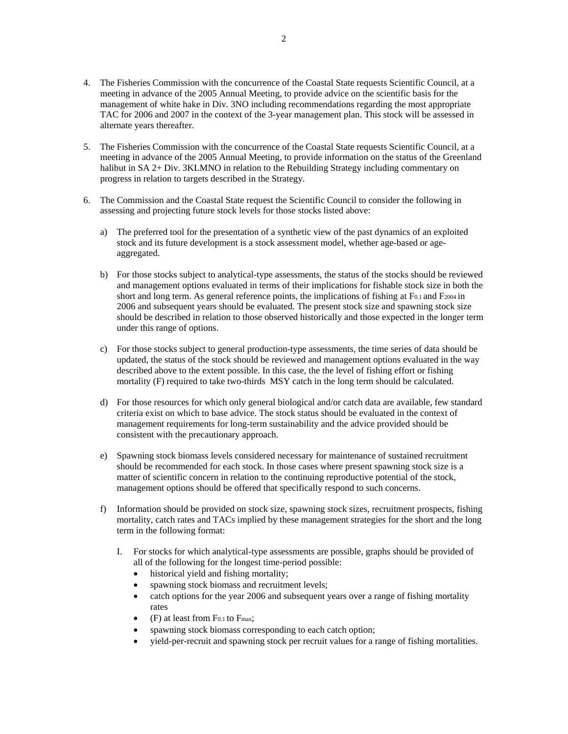- 4. The Fisheries Commission with the concurrence of the Coastal State requests Scientific Council, at a meeting in advance of the 2005 Annual Meeting, to provide advice on the scientific basis for the management of white hake in Div. 3NO including recommendations regarding the most appropriate TAC for 2006 and 2007 in the context of the 3-year management plan. This stock will be assessed in alternate years thereafter.
- 5. The Fisheries Commission with the concurrence of the Coastal State requests Scientific Council, at a meeting in advance of the 2005 Annual Meeting, to provide information on the status of the Greenland halibut in SA 2+ Div. 3KLMNO in relation to the Rebuilding Strategy including commentary on progress in relation to targets described in the Strategy.
- 6. The Commission and the Coastal State request the Scientific Council to consider the following in assessing and projecting future stock levels for those stocks listed above:
	- a) The preferred tool for the presentation of a synthetic view of the past dynamics of an exploited stock and its future development is a stock assessment model, whether age-based or ageaggregated.
	- b) For those stocks subject to analytical-type assessments, the status of the stocks should be reviewed and management options evaluated in terms of their implications for fishable stock size in both the short and long term. As general reference points, the implications of fishing at F<sub>0.1</sub> and F<sub>2004</sub> in 2006 and subsequent years should be evaluated. The present stock size and spawning stock size should be described in relation to those observed historically and those expected in the longer term under this range of options.
	- c) For those stocks subject to general production-type assessments, the time series of data should be updated, the status of the stock should be reviewed and management options evaluated in the way described above to the extent possible. In this case, the the level of fishing effort or fishing mortality (F) required to take two-thirds MSY catch in the long term should be calculated.
	- d) For those resources for which only general biological and/or catch data are available, few standard criteria exist on which to base advice. The stock status should be evaluated in the context of management requirements for long-term sustainability and the advice provided should be consistent with the precautionary approach.
	- e) Spawning stock biomass levels considered necessary for maintenance of sustained recruitment should be recommended for each stock. In those cases where present spawning stock size is a matter of scientific concern in relation to the continuing reproductive potential of the stock, management options should be offered that specifically respond to such concerns.
	- f) Information should be provided on stock size, spawning stock sizes, recruitment prospects, fishing mortality, catch rates and TACs implied by these management strategies for the short and the long term in the following format:
		- I. For stocks for which analytical-type assessments are possible, graphs should be provided of all of the following for the longest time-period possible:
			- historical yield and fishing mortality;
			- spawning stock biomass and recruitment levels;
			- catch options for the year 2006 and subsequent years over a range of fishing mortality rates
			- $(F)$  at least from F<sub>0.1</sub> to F<sub>max</sub>;
			- spawning stock biomass corresponding to each catch option;
			- yield-per-recruit and spawning stock per recruit values for a range of fishing mortalities.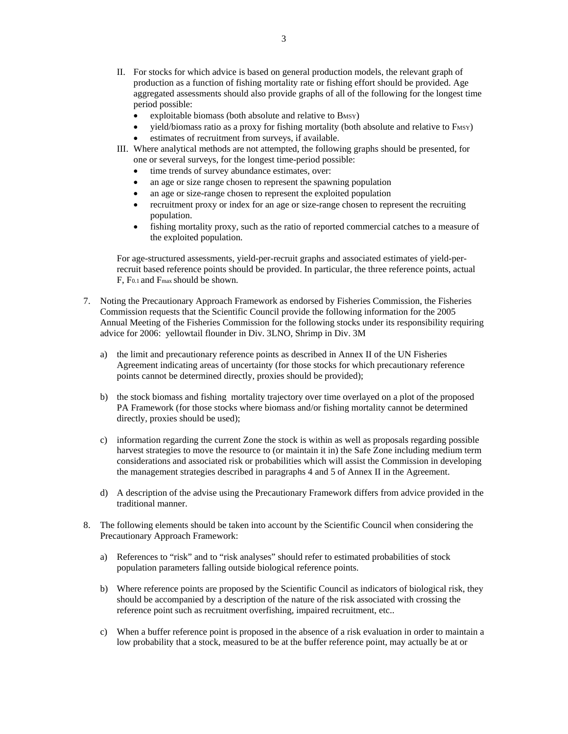- II. For stocks for which advice is based on general production models, the relevant graph of production as a function of fishing mortality rate or fishing effort should be provided. Age aggregated assessments should also provide graphs of all of the following for the longest time period possible:
	- exploitable biomass (both absolute and relative to BMSY)
	- yield/biomass ratio as a proxy for fishing mortality (both absolute and relative to FMSY)
	- estimates of recruitment from surveys, if available.
- III. Where analytical methods are not attempted, the following graphs should be presented, for one or several surveys, for the longest time-period possible:
	- time trends of survey abundance estimates, over:
	- an age or size range chosen to represent the spawning population
	- an age or size-range chosen to represent the exploited population
	- recruitment proxy or index for an age or size-range chosen to represent the recruiting population.
	- fishing mortality proxy, such as the ratio of reported commercial catches to a measure of the exploited population.

For age-structured assessments, yield-per-recruit graphs and associated estimates of yield-perrecruit based reference points should be provided. In particular, the three reference points, actual F, F0.1 and Fmax should be shown.

- 7. Noting the Precautionary Approach Framework as endorsed by Fisheries Commission, the Fisheries Commission requests that the Scientific Council provide the following information for the 2005 Annual Meeting of the Fisheries Commission for the following stocks under its responsibility requiring advice for 2006: yellowtail flounder in Div. 3LNO, Shrimp in Div. 3M
	- a) the limit and precautionary reference points as described in Annex II of the UN Fisheries Agreement indicating areas of uncertainty (for those stocks for which precautionary reference points cannot be determined directly, proxies should be provided);
	- b) the stock biomass and fishing mortality trajectory over time overlayed on a plot of the proposed PA Framework (for those stocks where biomass and/or fishing mortality cannot be determined directly, proxies should be used);
	- c) information regarding the current Zone the stock is within as well as proposals regarding possible harvest strategies to move the resource to (or maintain it in) the Safe Zone including medium term considerations and associated risk or probabilities which will assist the Commission in developing the management strategies described in paragraphs 4 and 5 of Annex II in the Agreement.
	- d) A description of the advise using the Precautionary Framework differs from advice provided in the traditional manner.
- 8. The following elements should be taken into account by the Scientific Council when considering the Precautionary Approach Framework:
	- a) References to "risk" and to "risk analyses" should refer to estimated probabilities of stock population parameters falling outside biological reference points.
	- b) Where reference points are proposed by the Scientific Council as indicators of biological risk, they should be accompanied by a description of the nature of the risk associated with crossing the reference point such as recruitment overfishing, impaired recruitment, etc..
	- c) When a buffer reference point is proposed in the absence of a risk evaluation in order to maintain a low probability that a stock, measured to be at the buffer reference point, may actually be at or